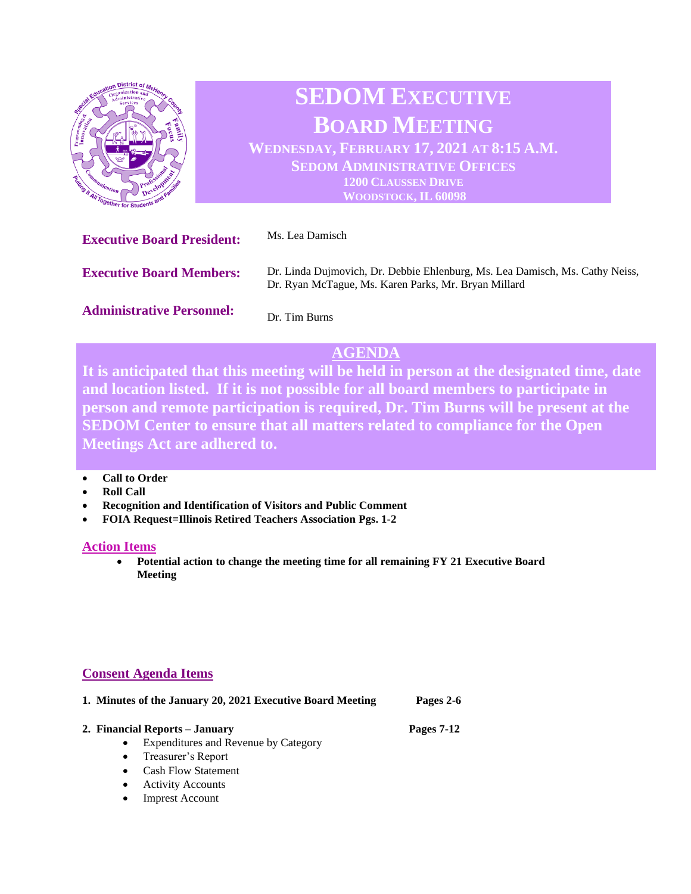

## **SEDOM EXECUTIVE BOARD MEETING WEDNESDAY, FEBRUARY 17, 2021 AT 8:15 A.M. SEDOM ADMINISTRATIVE OFFICES 1200 CLAUSSEN DRIVE WOODSTOCK, IL 60098**

**Executive Board President:** Ms. Lea Damisch **Executive Board Members: Administrative Personnel:** Dr. Linda Dujmovich, Dr. Debbie Ehlenburg, Ms. Lea Damisch, Ms. Cathy Neiss, Dr. Ryan McTague, Ms. Karen Parks, Mr. Bryan Millard Dr. Tim Burns

## **AGENDA**

**It is anticipated that this meeting will be held in person at the designated time, date and location listed. If it is not possible for all board members to participate in person and remote participation is required, Dr. Tim Burns will be present at the SEDOM Center to ensure that all matters related to compliance for the Open Meetings Act are adhered to.** 

- **Call to Order**
- **Roll Call**
- **Recognition and Identification of Visitors and Public Comment**
- **FOIA Request=Illinois Retired Teachers Association Pgs. 1-2**

## **Action Items**

• **Potential action to change the meeting time for all remaining FY 21 Executive Board Meeting** 

## **Consent Agenda Items**

|           | 1. Minutes of the January 20, 2021 Executive Board Meeting | Pages 2-6  |
|-----------|------------------------------------------------------------|------------|
|           | 2. Financial Reports – January                             | Pages 7-12 |
| $\bullet$ | Expenditures and Revenue by Category                       |            |
|           | • Treasurer's Report                                       |            |
| $\bullet$ | <b>Cash Flow Statement</b>                                 |            |

- Activity Accounts
- **Imprest Account**